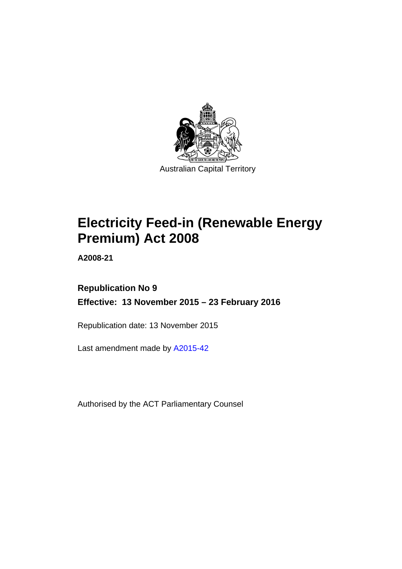

# **Electricity Feed-in (Renewable Energy Premium) Act 2008**

**A2008-21** 

## **Republication No 9 Effective: 13 November 2015 – 23 February 2016**

Republication date: 13 November 2015

Last amendment made by [A2015-42](http://www.legislation.act.gov.au/a/2015-42)

Authorised by the ACT Parliamentary Counsel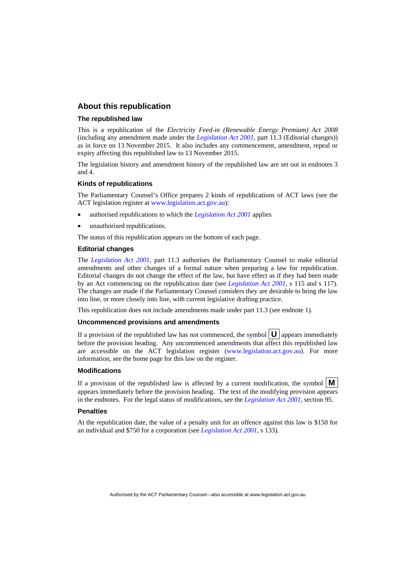### **About this republication**

#### **The republished law**

This is a republication of the *Electricity Feed-in (Renewable Energy Premium) Act 2008* (including any amendment made under the *[Legislation Act 2001](http://www.legislation.act.gov.au/a/2001-14)*, part 11.3 (Editorial changes)) as in force on 13 November 2015*.* It also includes any commencement, amendment, repeal or expiry affecting this republished law to 13 November 2015.

The legislation history and amendment history of the republished law are set out in endnotes 3 and 4.

#### **Kinds of republications**

The Parliamentary Counsel's Office prepares 2 kinds of republications of ACT laws (see the ACT legislation register at [www.legislation.act.gov.au](http://www.legislation.act.gov.au/)):

- authorised republications to which the *[Legislation Act 2001](http://www.legislation.act.gov.au/a/2001-14)* applies
- unauthorised republications.

The status of this republication appears on the bottom of each page.

#### **Editorial changes**

The *[Legislation Act 2001](http://www.legislation.act.gov.au/a/2001-14)*, part 11.3 authorises the Parliamentary Counsel to make editorial amendments and other changes of a formal nature when preparing a law for republication. Editorial changes do not change the effect of the law, but have effect as if they had been made by an Act commencing on the republication date (see *[Legislation Act 2001](http://www.legislation.act.gov.au/a/2001-14)*, s 115 and s 117). The changes are made if the Parliamentary Counsel considers they are desirable to bring the law into line, or more closely into line, with current legislative drafting practice.

This republication does not include amendments made under part 11.3 (see endnote 1).

#### **Uncommenced provisions and amendments**

If a provision of the republished law has not commenced, the symbol  $\mathbf{U}$  appears immediately before the provision heading. Any uncommenced amendments that affect this republished law are accessible on the ACT legislation register [\(www.legislation.act.gov.au\)](http://www.legislation.act.gov.au/). For more information, see the home page for this law on the register.

#### **Modifications**

If a provision of the republished law is affected by a current modification, the symbol  $\mathbf{M}$ appears immediately before the provision heading. The text of the modifying provision appears in the endnotes. For the legal status of modifications, see the *[Legislation Act 2001](http://www.legislation.act.gov.au/a/2001-14)*, section 95.

#### **Penalties**

At the republication date, the value of a penalty unit for an offence against this law is \$150 for an individual and \$750 for a corporation (see *[Legislation Act 2001](http://www.legislation.act.gov.au/a/2001-14)*, s 133).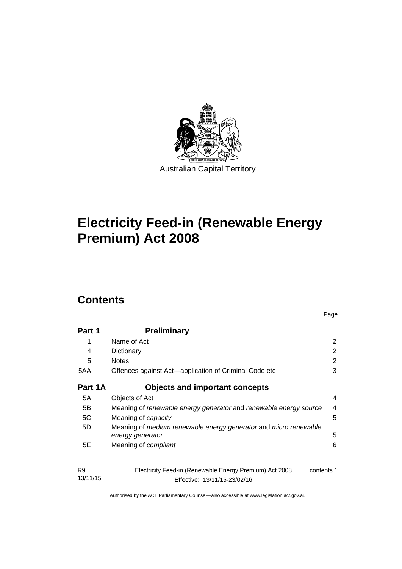

# **Electricity Feed-in (Renewable Energy Premium) Act 2008**

## **Contents**

| Part 1                     | <b>Preliminary</b>                                                                                    |   |
|----------------------------|-------------------------------------------------------------------------------------------------------|---|
| 1                          | Name of Act                                                                                           | 2 |
| 4                          | Dictionary                                                                                            | 2 |
| 5                          | <b>Notes</b>                                                                                          | 2 |
| 5AA                        | Offences against Act—application of Criminal Code etc                                                 | 3 |
| Part 1A                    | <b>Objects and important concepts</b>                                                                 |   |
| 5A                         | Objects of Act                                                                                        | 4 |
| 5B                         | Meaning of renewable energy generator and renewable energy source                                     | 4 |
| 5C                         | Meaning of <i>capacity</i>                                                                            | 5 |
| 5D                         | Meaning of medium renewable energy generator and micro renewable<br>energy generator                  | 5 |
| 5E                         | Meaning of <i>compliant</i>                                                                           | 6 |
| R <sub>9</sub><br>13/11/15 | Electricity Feed-in (Renewable Energy Premium) Act 2008<br>contents 1<br>Effective: 13/11/15-23/02/16 |   |

Page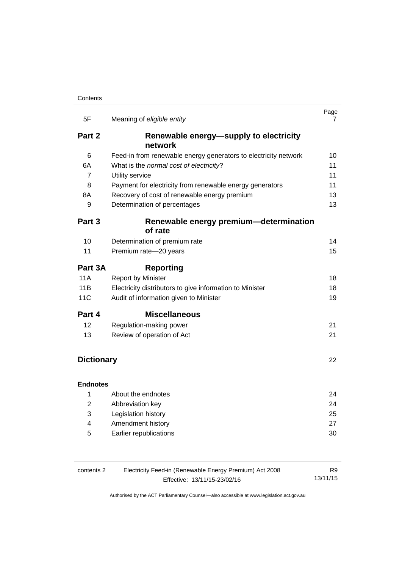| 5F                | Meaning of eligible entity                                      | Page<br>7 |
|-------------------|-----------------------------------------------------------------|-----------|
|                   |                                                                 |           |
| Part 2            | Renewable energy-supply to electricity<br>network               |           |
| 6                 | Feed-in from renewable energy generators to electricity network | 10        |
| 6A                | What is the normal cost of electricity?                         | 11        |
| 7                 | Utility service                                                 | 11        |
| 8                 | Payment for electricity from renewable energy generators        | 11        |
| 8A                | Recovery of cost of renewable energy premium                    | 13        |
| 9                 | Determination of percentages                                    | 13        |
| Part 3            | Renewable energy premium-determination<br>of rate               |           |
| 10                | Determination of premium rate                                   | 14        |
| 11                | Premium rate-20 years                                           | 15        |
| Part 3A           | <b>Reporting</b>                                                |           |
| 11A               | <b>Report by Minister</b>                                       | 18        |
| 11B               | Electricity distributors to give information to Minister        | 18        |
| <b>11C</b>        | Audit of information given to Minister                          | 19        |
| Part 4            | <b>Miscellaneous</b>                                            |           |
| 12                | Regulation-making power                                         | 21        |
| 13                | Review of operation of Act                                      | 21        |
|                   |                                                                 |           |
| <b>Dictionary</b> |                                                                 | 22        |
| <b>Endnotes</b>   |                                                                 |           |
| 1                 | About the endnotes                                              | 24        |
| $\overline{2}$    | Abbreviation key                                                | 24        |
| 3                 | Legislation history                                             | 25        |
| 4                 | Amendment history                                               | 27        |
| 5                 | Earlier republications                                          | 30        |

| Electricity Feed-in (Renewable Energy Premium) Act 2008<br>contents 2 |                              | R9       |
|-----------------------------------------------------------------------|------------------------------|----------|
|                                                                       | Effective: 13/11/15-23/02/16 | 13/11/15 |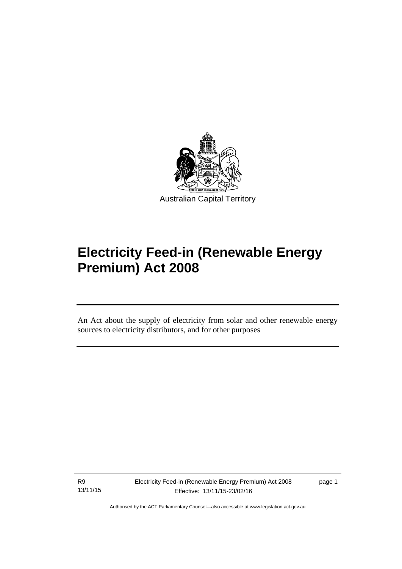

# **Electricity Feed-in (Renewable Energy Premium) Act 2008**

An Act about the supply of electricity from solar and other renewable energy sources to electricity distributors, and for other purposes

R9 13/11/15

l

page 1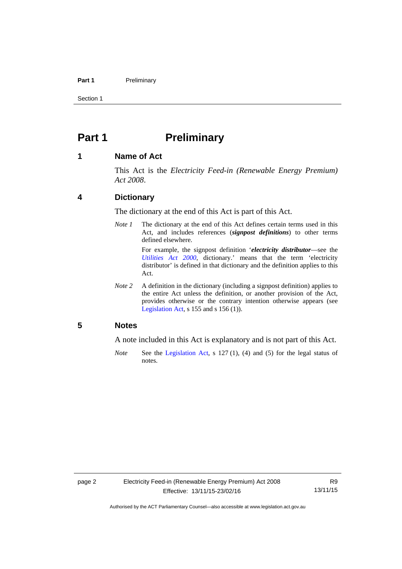#### Part 1 **Preliminary**

Section 1

## <span id="page-5-0"></span>**Part 1** Preliminary

### <span id="page-5-1"></span>**1 Name of Act**

This Act is the *Electricity Feed-in (Renewable Energy Premium) Act 2008*.

## <span id="page-5-2"></span>**4 Dictionary**

The dictionary at the end of this Act is part of this Act.

*Note 1* The dictionary at the end of this Act defines certain terms used in this Act, and includes references (*signpost definitions*) to other terms defined elsewhere.

> For example, the signpost definition '*electricity distributor*—see the *[Utilities Act 2000](http://www.legislation.act.gov.au/a/2000-65)*, dictionary.' means that the term 'electricity distributor' is defined in that dictionary and the definition applies to this Act.

*Note 2* A definition in the dictionary (including a signpost definition) applies to the entire Act unless the definition, or another provision of the Act, provides otherwise or the contrary intention otherwise appears (see [Legislation Act,](http://www.legislation.act.gov.au/a/2001-14) s  $155$  and s  $156$  (1)).

### <span id="page-5-3"></span>**5 Notes**

A note included in this Act is explanatory and is not part of this Act.

*Note* See the [Legislation Act,](http://www.legislation.act.gov.au/a/2001-14) s 127 (1), (4) and (5) for the legal status of notes.

R9 13/11/15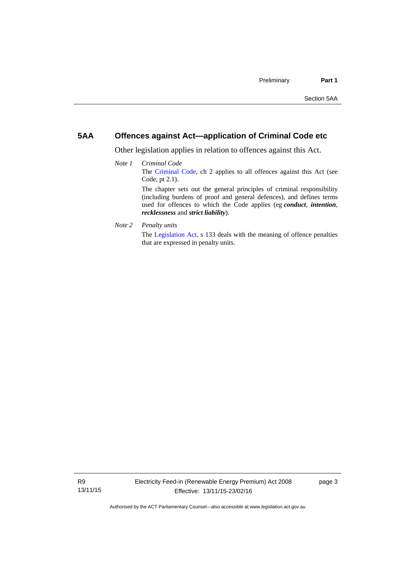## <span id="page-6-0"></span>**5AA Offences against Act—application of Criminal Code etc**

Other legislation applies in relation to offences against this Act.

- *Note 1 Criminal Code* The [Criminal Code](http://www.legislation.act.gov.au/a/2002-51), ch 2 applies to all offences against this Act (see Code, pt 2.1). The chapter sets out the general principles of criminal responsibility (including burdens of proof and general defences), and defines terms used for offences to which the Code applies (eg *conduct*, *intention*, *recklessness* and *strict liability*).
- *Note 2 Penalty units*

The [Legislation Act](http://www.legislation.act.gov.au/a/2001-14), s 133 deals with the meaning of offence penalties that are expressed in penalty units.

page 3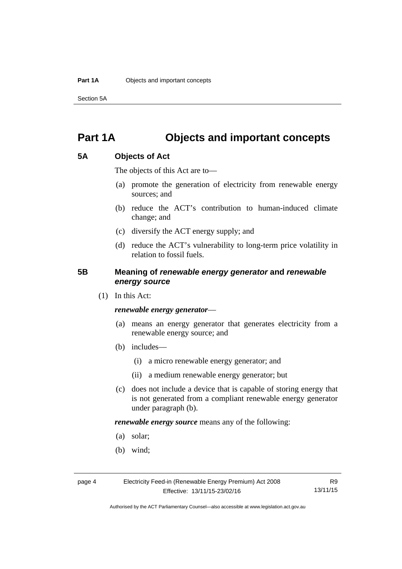Section 5A

## <span id="page-7-0"></span>**Part 1A Objects and important concepts**

## <span id="page-7-1"></span>**5A Objects of Act**

The objects of this Act are to—

- (a) promote the generation of electricity from renewable energy sources; and
- (b) reduce the ACT's contribution to human-induced climate change; and
- (c) diversify the ACT energy supply; and
- (d) reduce the ACT's vulnerability to long-term price volatility in relation to fossil fuels.

## <span id="page-7-2"></span>**5B Meaning of** *renewable energy generator* **and** *renewable energy source*

(1) In this Act:

#### *renewable energy generator*—

- (a) means an energy generator that generates electricity from a renewable energy source; and
- (b) includes—
	- (i) a micro renewable energy generator; and
	- (ii) a medium renewable energy generator; but
- (c) does not include a device that is capable of storing energy that is not generated from a compliant renewable energy generator under paragraph (b).

*renewable energy source* means any of the following:

- (a) solar;
- (b) wind;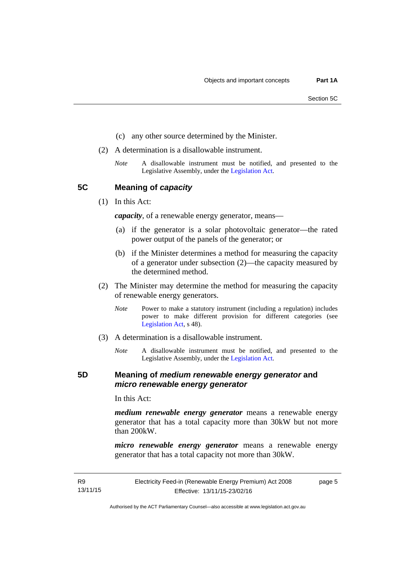- (c) any other source determined by the Minister.
- (2) A determination is a disallowable instrument.
	- *Note* A disallowable instrument must be notified, and presented to the Legislative Assembly, under the [Legislation Act.](http://www.legislation.act.gov.au/a/2001-14)

<span id="page-8-0"></span>**5C Meaning of** *capacity*

(1) In this Act:

*capacity*, of a renewable energy generator, means—

- (a) if the generator is a solar photovoltaic generator—the rated power output of the panels of the generator; or
- (b) if the Minister determines a method for measuring the capacity of a generator under subsection (2)—the capacity measured by the determined method.
- (2) The Minister may determine the method for measuring the capacity of renewable energy generators.
	- *Note* Power to make a statutory instrument (including a regulation) includes power to make different provision for different categories (see [Legislation Act,](http://www.legislation.act.gov.au/a/2001-14) s 48).
- (3) A determination is a disallowable instrument.
	- *Note* A disallowable instrument must be notified, and presented to the Legislative Assembly, under the [Legislation Act.](http://www.legislation.act.gov.au/a/2001-14)

## <span id="page-8-1"></span>**5D Meaning of** *medium renewable energy generator* **and**  *micro renewable energy generator*

In this Act:

*medium renewable energy generator* means a renewable energy generator that has a total capacity more than 30kW but not more than 200kW.

*micro renewable energy generator* means a renewable energy generator that has a total capacity not more than 30kW.

Authorised by the ACT Parliamentary Counsel—also accessible at www.legislation.act.gov.au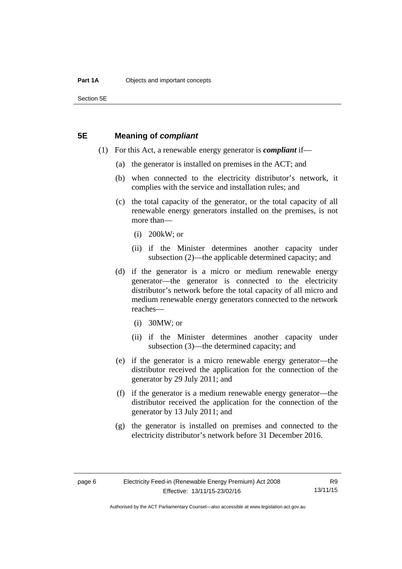Section 5E

### <span id="page-9-0"></span>**5E Meaning of** *compliant*

- (1) For this Act, a renewable energy generator is *compliant* if—
	- (a) the generator is installed on premises in the ACT; and
	- (b) when connected to the electricity distributor's network, it complies with the service and installation rules; and
	- (c) the total capacity of the generator, or the total capacity of all renewable energy generators installed on the premises, is not more than—
		- (i) 200kW; or
		- (ii) if the Minister determines another capacity under subsection (2)—the applicable determined capacity; and
	- (d) if the generator is a micro or medium renewable energy generator—the generator is connected to the electricity distributor's network before the total capacity of all micro and medium renewable energy generators connected to the network reaches—
		- (i) 30MW; or
		- (ii) if the Minister determines another capacity under subsection (3)—the determined capacity; and
	- (e) if the generator is a micro renewable energy generator—the distributor received the application for the connection of the generator by 29 July 2011; and
	- (f) if the generator is a medium renewable energy generator—the distributor received the application for the connection of the generator by 13 July 2011; and
	- (g) the generator is installed on premises and connected to the electricity distributor's network before 31 December 2016.

R9 13/11/15

Authorised by the ACT Parliamentary Counsel—also accessible at www.legislation.act.gov.au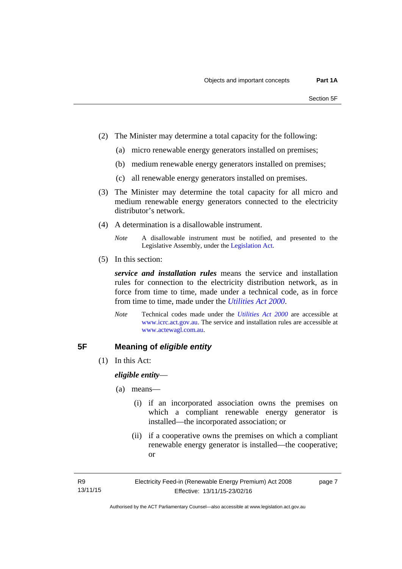- (2) The Minister may determine a total capacity for the following:
	- (a) micro renewable energy generators installed on premises;
	- (b) medium renewable energy generators installed on premises;
	- (c) all renewable energy generators installed on premises.
- (3) The Minister may determine the total capacity for all micro and medium renewable energy generators connected to the electricity distributor's network.
- (4) A determination is a disallowable instrument.
	- *Note* A disallowable instrument must be notified, and presented to the Legislative Assembly, under the [Legislation Act.](http://www.legislation.act.gov.au/a/2001-14)
- (5) In this section:

*service and installation rules* means the service and installation rules for connection to the electricity distribution network, as in force from time to time, made under a technical code, as in force from time to time, made under the *[Utilities Act 2000](http://www.legislation.act.gov.au/a/2000-65)*.

*Note* Technical codes made under the *[Utilities Act 2000](http://www.legislation.act.gov.au/a/2000-65)* are accessible at [www.icrc.act.gov.au.](http://www.icrc.act.gov.au/) The service and installation rules are accessible at [www.actewagl.com.au](http://www.actewagl.com.au/).

## <span id="page-10-0"></span>**5F Meaning of** *eligible entity*

(1) In this Act:

*eligible entity*—

- (a) means—
	- (i) if an incorporated association owns the premises on which a compliant renewable energy generator is installed—the incorporated association; or
	- (ii) if a cooperative owns the premises on which a compliant renewable energy generator is installed—the cooperative; or

page 7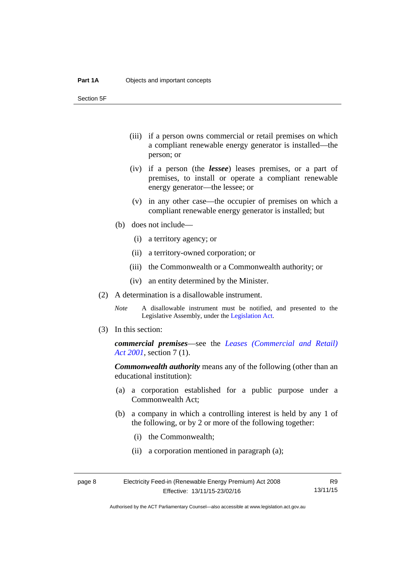Section 5F

- (iii) if a person owns commercial or retail premises on which a compliant renewable energy generator is installed—the person; or
- (iv) if a person (the *lessee*) leases premises, or a part of premises, to install or operate a compliant renewable energy generator—the lessee; or
- (v) in any other case—the occupier of premises on which a compliant renewable energy generator is installed; but
- (b) does not include—
	- (i) a territory agency; or
	- (ii) a territory-owned corporation; or
	- (iii) the Commonwealth or a Commonwealth authority; or
	- (iv) an entity determined by the Minister.
- (2) A determination is a disallowable instrument.
	- *Note* A disallowable instrument must be notified, and presented to the Legislative Assembly, under the [Legislation Act.](http://www.legislation.act.gov.au/a/2001-14)
- (3) In this section:

*commercial premises*—see the *[Leases \(Commercial and Retail\)](http://www.legislation.act.gov.au/a/2001-18)  [Act 2001](http://www.legislation.act.gov.au/a/2001-18)*, section 7 (1).

*Commonwealth authority* means any of the following (other than an educational institution):

- (a) a corporation established for a public purpose under a Commonwealth Act;
- (b) a company in which a controlling interest is held by any 1 of the following, or by 2 or more of the following together:
	- (i) the Commonwealth;
	- (ii) a corporation mentioned in paragraph (a);

Authorised by the ACT Parliamentary Counsel—also accessible at www.legislation.act.gov.au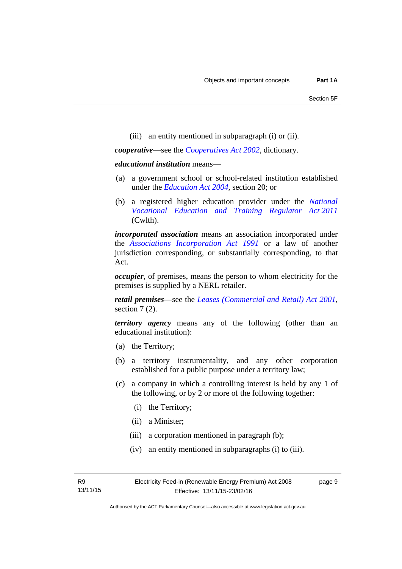(iii) an entity mentioned in subparagraph (i) or (ii).

*cooperative*—see the *[Cooperatives Act 2002](http://www.legislation.act.gov.au/a/2002-45)*, dictionary.

#### *educational institution* means—

- (a) a government school or school-related institution established under the *[Education Act 2004](http://www.legislation.act.gov.au/a/2004-17)*, section 20; or
- (b) a registered higher education provider under the *[National](http://www.comlaw.gov.au/Series/C2011A00012)  [Vocational Education and Training Regulator Act 2011](http://www.comlaw.gov.au/Series/C2011A00012)* (Cwlth).

*incorporated association* means an association incorporated under the *[Associations Incorporation Act 1991](http://www.legislation.act.gov.au/a/1991-46)* or a law of another jurisdiction corresponding, or substantially corresponding, to that Act.

*occupier*, of premises, means the person to whom electricity for the premises is supplied by a NERL retailer.

*retail premises*—see the *[Leases \(Commercial and Retail\) Act 2001](http://www.legislation.act.gov.au/a/2001-18)*, section 7(2).

*territory agency* means any of the following (other than an educational institution):

- (a) the Territory;
- (b) a territory instrumentality, and any other corporation established for a public purpose under a territory law;
- (c) a company in which a controlling interest is held by any 1 of the following, or by 2 or more of the following together:
	- (i) the Territory;
	- (ii) a Minister;
	- (iii) a corporation mentioned in paragraph (b);
	- (iv) an entity mentioned in subparagraphs (i) to (iii).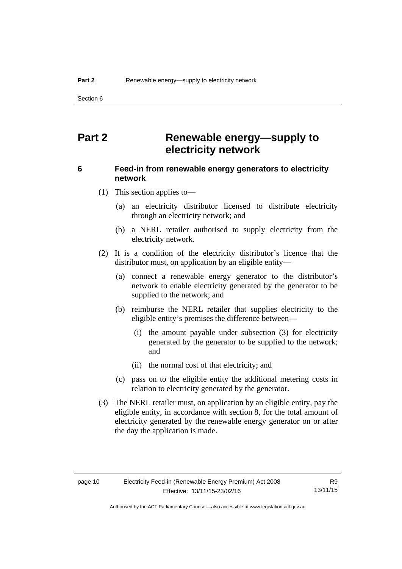Section 6

## <span id="page-13-0"></span>**Part 2 Renewable energy—supply to electricity network**

## <span id="page-13-1"></span>**6 Feed-in from renewable energy generators to electricity network**

(1) This section applies to—

- (a) an electricity distributor licensed to distribute electricity through an electricity network; and
- (b) a NERL retailer authorised to supply electricity from the electricity network.
- (2) It is a condition of the electricity distributor's licence that the distributor must, on application by an eligible entity—
	- (a) connect a renewable energy generator to the distributor's network to enable electricity generated by the generator to be supplied to the network; and
	- (b) reimburse the NERL retailer that supplies electricity to the eligible entity's premises the difference between—
		- (i) the amount payable under subsection (3) for electricity generated by the generator to be supplied to the network; and
		- (ii) the normal cost of that electricity; and
	- (c) pass on to the eligible entity the additional metering costs in relation to electricity generated by the generator.
- (3) The NERL retailer must, on application by an eligible entity, pay the eligible entity, in accordance with section 8, for the total amount of electricity generated by the renewable energy generator on or after the day the application is made.

R9 13/11/15

Authorised by the ACT Parliamentary Counsel—also accessible at www.legislation.act.gov.au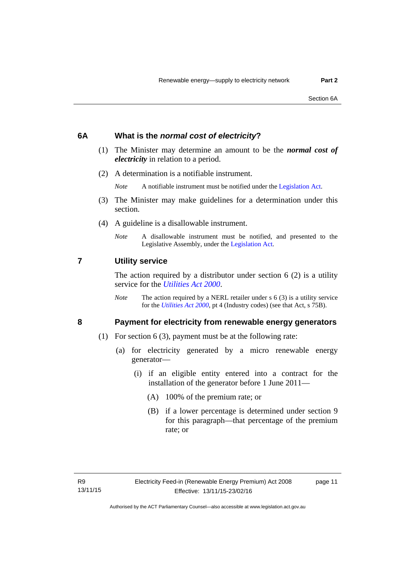## <span id="page-14-0"></span>**6A What is the** *normal cost of electricity***?**

- (1) The Minister may determine an amount to be the *normal cost of electricity* in relation to a period.
- (2) A determination is a notifiable instrument.

*Note* A notifiable instrument must be notified under the [Legislation Act](http://www.legislation.act.gov.au/a/2001-14).

- (3) The Minister may make guidelines for a determination under this section.
- (4) A guideline is a disallowable instrument.
	- *Note* A disallowable instrument must be notified, and presented to the Legislative Assembly, under the [Legislation Act.](http://www.legislation.act.gov.au/a/2001-14)

### <span id="page-14-1"></span>**7 Utility service**

The action required by a distributor under section  $6(2)$  is a utility service for the *[Utilities Act 2000](http://www.legislation.act.gov.au/a/2000-65)*.

*Note* The action required by a NERL retailer under s 6 (3) is a utility service for the *[Utilities Act 2000](http://www.legislation.act.gov.au/a/2000-65)*, pt 4 (Industry codes) (see that Act, s 75B).

## <span id="page-14-2"></span>**8 Payment for electricity from renewable energy generators**

- (1) For section 6 (3), payment must be at the following rate:
	- (a) for electricity generated by a micro renewable energy generator—
		- (i) if an eligible entity entered into a contract for the installation of the generator before 1 June 2011—
			- (A) 100% of the premium rate; or
			- (B) if a lower percentage is determined under section 9 for this paragraph—that percentage of the premium rate; or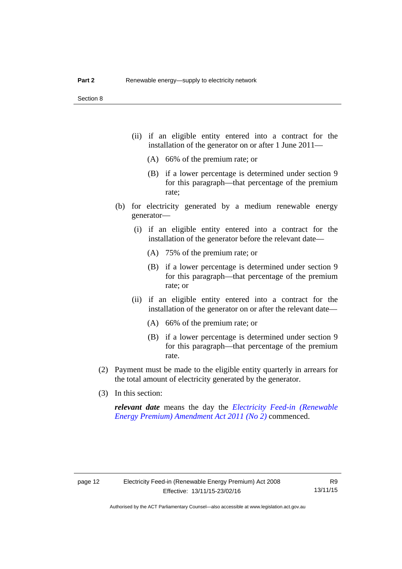- (ii) if an eligible entity entered into a contract for the installation of the generator on or after 1 June 2011—
	- (A) 66% of the premium rate; or
	- (B) if a lower percentage is determined under section 9 for this paragraph—that percentage of the premium rate;
- (b) for electricity generated by a medium renewable energy generator—
	- (i) if an eligible entity entered into a contract for the installation of the generator before the relevant date—
		- (A) 75% of the premium rate; or
		- (B) if a lower percentage is determined under section 9 for this paragraph—that percentage of the premium rate; or
	- (ii) if an eligible entity entered into a contract for the installation of the generator on or after the relevant date—
		- (A) 66% of the premium rate; or
		- (B) if a lower percentage is determined under section 9 for this paragraph—that percentage of the premium rate.
- (2) Payment must be made to the eligible entity quarterly in arrears for the total amount of electricity generated by the generator.
- (3) In this section:

*relevant date* means the day the *[Electricity Feed-in \(Renewable](http://www.legislation.act.gov.au/a/2011-25)  [Energy Premium\) Amendment Act 2011 \(No 2\)](http://www.legislation.act.gov.au/a/2011-25)* commenced.

R9 13/11/15

Authorised by the ACT Parliamentary Counsel—also accessible at www.legislation.act.gov.au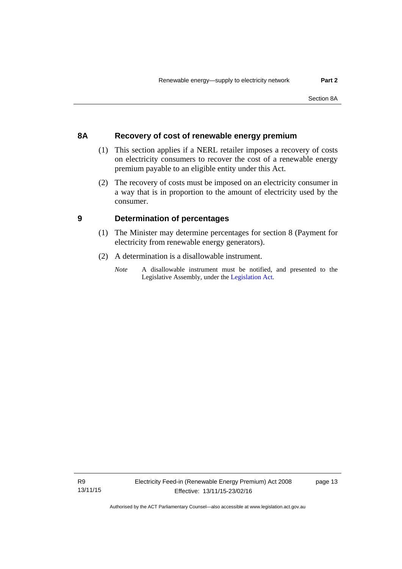## <span id="page-16-0"></span>**8A Recovery of cost of renewable energy premium**

- (1) This section applies if a NERL retailer imposes a recovery of costs on electricity consumers to recover the cost of a renewable energy premium payable to an eligible entity under this Act.
- (2) The recovery of costs must be imposed on an electricity consumer in a way that is in proportion to the amount of electricity used by the consumer.

## <span id="page-16-1"></span>**9 Determination of percentages**

- (1) The Minister may determine percentages for section 8 (Payment for electricity from renewable energy generators).
- (2) A determination is a disallowable instrument.
	- *Note* A disallowable instrument must be notified, and presented to the Legislative Assembly, under the [Legislation Act.](http://www.legislation.act.gov.au/a/2001-14)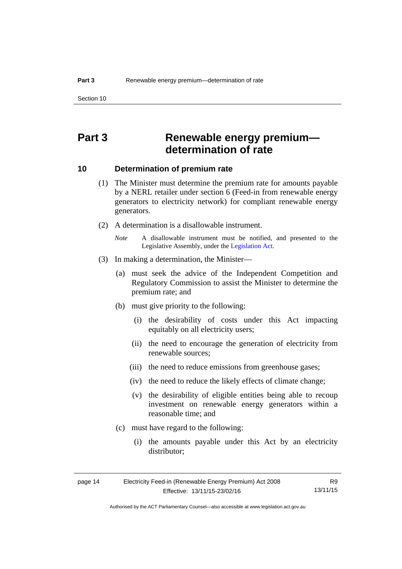## <span id="page-17-0"></span>**Part 3 Renewable energy premium determination of rate**

### <span id="page-17-1"></span>**10 Determination of premium rate**

- (1) The Minister must determine the premium rate for amounts payable by a NERL retailer under section 6 (Feed-in from renewable energy generators to electricity network) for compliant renewable energy generators.
- (2) A determination is a disallowable instrument.
	- *Note* A disallowable instrument must be notified, and presented to the Legislative Assembly, under the [Legislation Act.](http://www.legislation.act.gov.au/a/2001-14)
- (3) In making a determination, the Minister—
	- (a) must seek the advice of the Independent Competition and Regulatory Commission to assist the Minister to determine the premium rate; and
	- (b) must give priority to the following:
		- (i) the desirability of costs under this Act impacting equitably on all electricity users;
		- (ii) the need to encourage the generation of electricity from renewable sources;
		- (iii) the need to reduce emissions from greenhouse gases;
		- (iv) the need to reduce the likely effects of climate change;
		- (v) the desirability of eligible entities being able to recoup investment on renewable energy generators within a reasonable time; and
	- (c) must have regard to the following:
		- (i) the amounts payable under this Act by an electricity distributor;

| page 14 | Electricity Feed-in (Renewable Energy Premium) Act 2008 | R9       |
|---------|---------------------------------------------------------|----------|
|         | Effective: 13/11/15-23/02/16                            | 13/11/15 |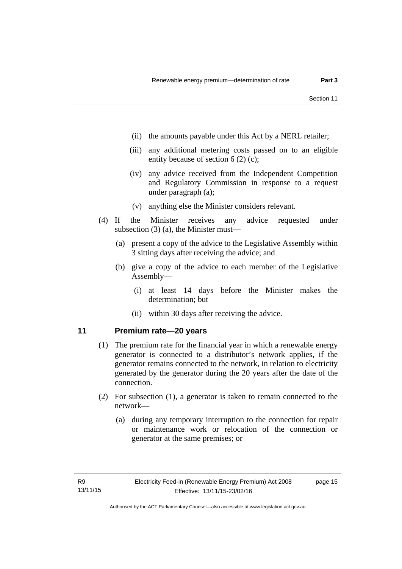- (ii) the amounts payable under this Act by a NERL retailer;
- (iii) any additional metering costs passed on to an eligible entity because of section 6 (2) (c);
- (iv) any advice received from the Independent Competition and Regulatory Commission in response to a request under paragraph (a);
- (v) anything else the Minister considers relevant.
- (4) If the Minister receives any advice requested under subsection (3) (a), the Minister must—
	- (a) present a copy of the advice to the Legislative Assembly within 3 sitting days after receiving the advice; and
	- (b) give a copy of the advice to each member of the Legislative Assembly—
		- (i) at least 14 days before the Minister makes the determination; but
		- (ii) within 30 days after receiving the advice.

## <span id="page-18-0"></span>**11 Premium rate—20 years**

- (1) The premium rate for the financial year in which a renewable energy generator is connected to a distributor's network applies, if the generator remains connected to the network, in relation to electricity generated by the generator during the 20 years after the date of the connection.
- (2) For subsection (1), a generator is taken to remain connected to the network—
	- (a) during any temporary interruption to the connection for repair or maintenance work or relocation of the connection or generator at the same premises; or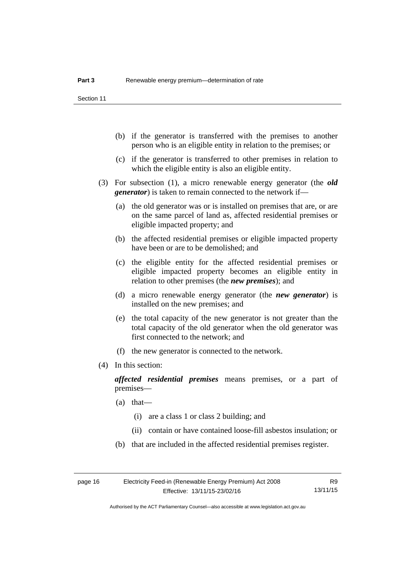- (b) if the generator is transferred with the premises to another person who is an eligible entity in relation to the premises; or
- (c) if the generator is transferred to other premises in relation to which the eligible entity is also an eligible entity.
- (3) For subsection (1), a micro renewable energy generator (the *old generator*) is taken to remain connected to the network if—
	- (a) the old generator was or is installed on premises that are, or are on the same parcel of land as, affected residential premises or eligible impacted property; and
	- (b) the affected residential premises or eligible impacted property have been or are to be demolished; and
	- (c) the eligible entity for the affected residential premises or eligible impacted property becomes an eligible entity in relation to other premises (the *new premises*); and
	- (d) a micro renewable energy generator (the *new generator*) is installed on the new premises; and
	- (e) the total capacity of the new generator is not greater than the total capacity of the old generator when the old generator was first connected to the network; and
	- (f) the new generator is connected to the network.
- (4) In this section:

*affected residential premises* means premises, or a part of premises—

- (a) that—
	- (i) are a class 1 or class 2 building; and
	- (ii) contain or have contained loose-fill asbestos insulation; or
- (b) that are included in the affected residential premises register.

Authorised by the ACT Parliamentary Counsel—also accessible at www.legislation.act.gov.au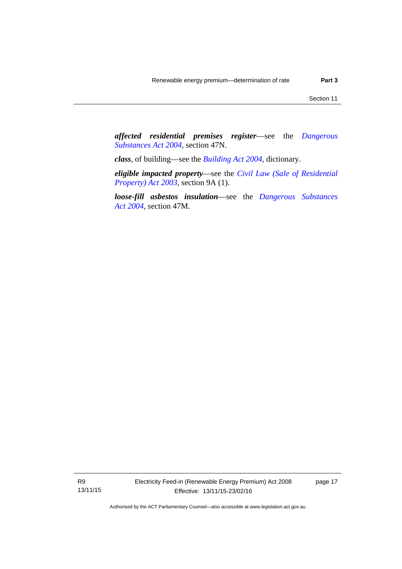*affected residential premises register*—see the *[Dangerous](http://www.legislation.act.gov.au/a/2004-7)  [Substances Act 2004](http://www.legislation.act.gov.au/a/2004-7)*, section 47N.

*class*, of building—see the *[Building Act 2004](http://www.legislation.act.gov.au/a/2004-11)*, dictionary.

*eligible impacted property*—see the *[Civil Law \(Sale of Residential](http://www.legislation.act.gov.au/a/2003-40)  [Property\) Act 2003](http://www.legislation.act.gov.au/a/2003-40)*, section 9A (1).

*loose-fill asbestos insulation*—see the *[Dangerous Substances](http://www.legislation.act.gov.au/a/2004-7)  [Act 2004](http://www.legislation.act.gov.au/a/2004-7)*, section 47M.

R9 13/11/15 page 17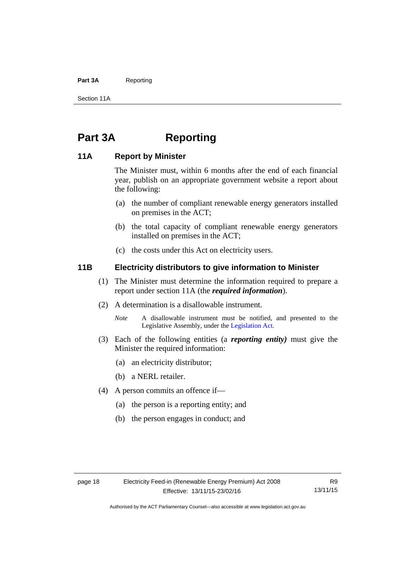#### Part 3A Reporting

Section 11A

## <span id="page-21-0"></span>**Part 3A Reporting**

## <span id="page-21-1"></span>**11A Report by Minister**

The Minister must, within 6 months after the end of each financial year, publish on an appropriate government website a report about the following:

- (a) the number of compliant renewable energy generators installed on premises in the ACT;
- (b) the total capacity of compliant renewable energy generators installed on premises in the ACT;
- (c) the costs under this Act on electricity users.

## <span id="page-21-2"></span>**11B Electricity distributors to give information to Minister**

- (1) The Minister must determine the information required to prepare a report under section 11A (the *required information*).
- (2) A determination is a disallowable instrument.
	- *Note* A disallowable instrument must be notified, and presented to the Legislative Assembly, under the [Legislation Act.](http://www.legislation.act.gov.au/a/2001-14)
- (3) Each of the following entities (a *reporting entity)* must give the Minister the required information:
	- (a) an electricity distributor;
	- (b) a NERL retailer.
- (4) A person commits an offence if—
	- (a) the person is a reporting entity; and
	- (b) the person engages in conduct; and

R9 13/11/15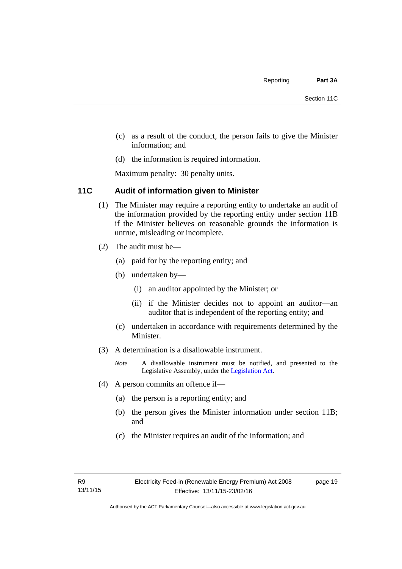- (c) as a result of the conduct, the person fails to give the Minister information; and
- (d) the information is required information.

Maximum penalty: 30 penalty units.

## <span id="page-22-0"></span>**11C Audit of information given to Minister**

- (1) The Minister may require a reporting entity to undertake an audit of the information provided by the reporting entity under section 11B if the Minister believes on reasonable grounds the information is untrue, misleading or incomplete.
- (2) The audit must be—
	- (a) paid for by the reporting entity; and
	- (b) undertaken by—
		- (i) an auditor appointed by the Minister; or
		- (ii) if the Minister decides not to appoint an auditor—an auditor that is independent of the reporting entity; and
	- (c) undertaken in accordance with requirements determined by the Minister.
- (3) A determination is a disallowable instrument.
	- *Note* A disallowable instrument must be notified, and presented to the Legislative Assembly, under the [Legislation Act.](http://www.legislation.act.gov.au/a/2001-14)
- (4) A person commits an offence if—
	- (a) the person is a reporting entity; and
	- (b) the person gives the Minister information under section 11B; and
	- (c) the Minister requires an audit of the information; and

page 19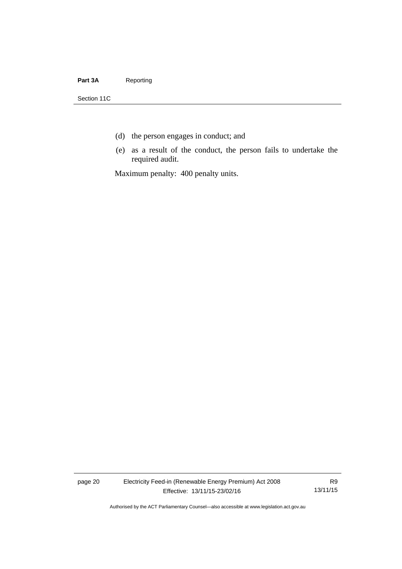#### Part 3A Reporting

Section 11C

- (d) the person engages in conduct; and
- (e) as a result of the conduct, the person fails to undertake the required audit.

Maximum penalty: 400 penalty units.

page 20 Electricity Feed-in (Renewable Energy Premium) Act 2008 Effective: 13/11/15-23/02/16

R9 13/11/15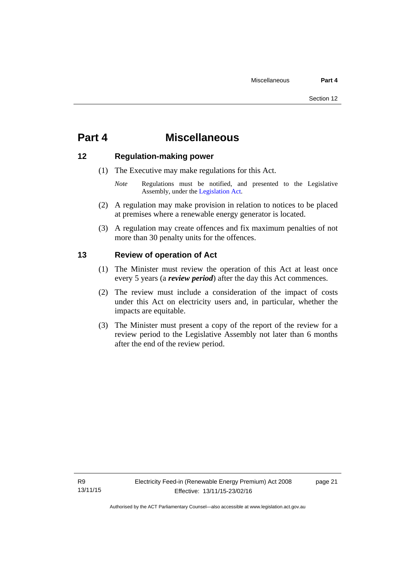## <span id="page-24-0"></span>**Part 4 Miscellaneous**

## <span id="page-24-1"></span>**12 Regulation-making power**

- (1) The Executive may make regulations for this Act.
	- *Note* Regulations must be notified, and presented to the Legislative Assembly, under the [Legislation Act](http://www.legislation.act.gov.au/a/2001-14).
- (2) A regulation may make provision in relation to notices to be placed at premises where a renewable energy generator is located.
- (3) A regulation may create offences and fix maximum penalties of not more than 30 penalty units for the offences.

## <span id="page-24-2"></span>**13 Review of operation of Act**

- (1) The Minister must review the operation of this Act at least once every 5 years (a *review period*) after the day this Act commences.
- (2) The review must include a consideration of the impact of costs under this Act on electricity users and, in particular, whether the impacts are equitable.
- (3) The Minister must present a copy of the report of the review for a review period to the Legislative Assembly not later than 6 months after the end of the review period.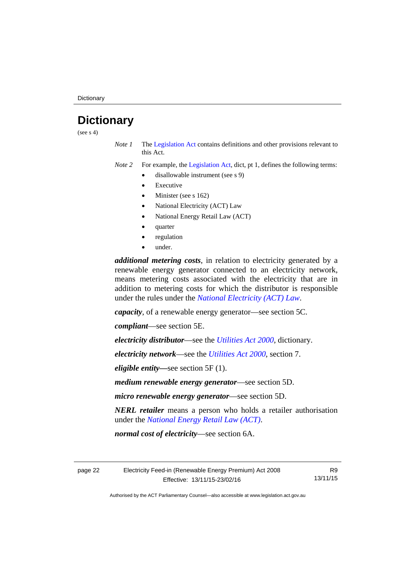## <span id="page-25-0"></span>**Dictionary**

(see  $s$  4)

*Note 1* The [Legislation Act](http://www.legislation.act.gov.au/a/2001-14) contains definitions and other provisions relevant to this Act.

*Note 2* For example, the [Legislation Act,](http://www.legislation.act.gov.au/a/2001-14) dict, pt 1, defines the following terms:

- disallowable instrument (see s 9)
	- Executive
	- Minister (see s 162)
	- National Electricity (ACT) Law
	- National Energy Retail Law (ACT)
	- quarter
	- regulation
	- under.

*additional metering costs*, in relation to electricity generated by a renewable energy generator connected to an electricity network, means metering costs associated with the electricity that are in addition to metering costs for which the distributor is responsible under the rules under the *[National Electricity \(ACT\) Law](http://www.legislation.act.gov.au/a/1997-79/default.asp)*.

*capacity*, of a renewable energy generator—see section 5C.

*compliant*—see section 5E.

*electricity distributor*—see the *[Utilities Act 2000](http://www.legislation.act.gov.au/a/2000-65)*, dictionary.

*electricity network*—see the *[Utilities Act 2000](http://www.legislation.act.gov.au/a/2000-65)*, section 7.

*eligible entity—*see section 5F (1).

*medium renewable energy generator*—see section 5D.

*micro renewable energy generator*—see section 5D.

*NERL retailer* means a person who holds a retailer authorisation under the *[National Energy Retail Law \(ACT\)](http://www.legislation.act.gov.au/a/2012-31/default.asp)*.

*normal cost of electricity*—see section 6A.

page 22 Electricity Feed-in (Renewable Energy Premium) Act 2008 Effective: 13/11/15-23/02/16

R9 13/11/15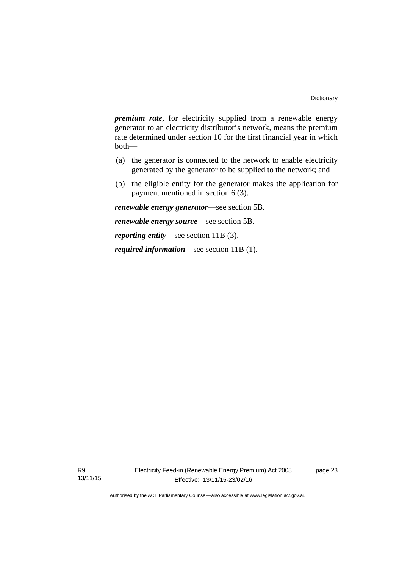*premium rate*, for electricity supplied from a renewable energy generator to an electricity distributor's network, means the premium rate determined under section 10 for the first financial year in which both—

- (a) the generator is connected to the network to enable electricity generated by the generator to be supplied to the network; and
- (b) the eligible entity for the generator makes the application for payment mentioned in section 6 (3).

*renewable energy generator*—see section 5B.

*renewable energy source*—see section 5B.

*reporting entity*—see section 11B (3).

*required information*—see section 11B (1).

R9 13/11/15 page 23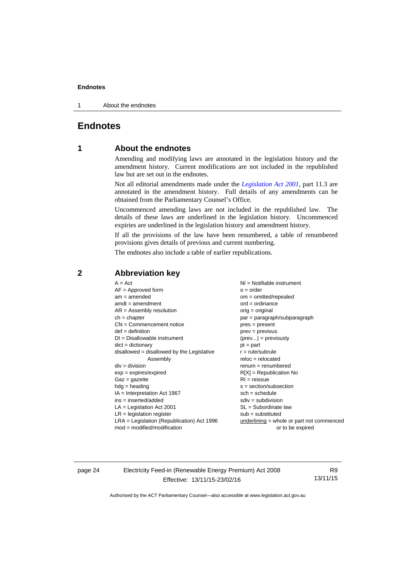1 About the endnotes

## <span id="page-27-0"></span>**Endnotes**

## **1 About the endnotes**

Amending and modifying laws are annotated in the legislation history and the amendment history. Current modifications are not included in the republished law but are set out in the endnotes.

Not all editorial amendments made under the *[Legislation Act 2001](http://www.legislation.act.gov.au/a/2001-14)*, part 11.3 are annotated in the amendment history. Full details of any amendments can be obtained from the Parliamentary Counsel's Office.

Uncommenced amending laws are not included in the republished law. The details of these laws are underlined in the legislation history. Uncommenced expiries are underlined in the legislation history and amendment history.

If all the provisions of the law have been renumbered, a table of renumbered provisions gives details of previous and current numbering.

The endnotes also include a table of earlier republications.

### <span id="page-27-2"></span>**2 Abbreviation key**

page 24 Electricity Feed-in (Renewable Energy Premium) Act 2008 Effective: 13/11/15-23/02/16

R9 13/11/15

<span id="page-27-1"></span>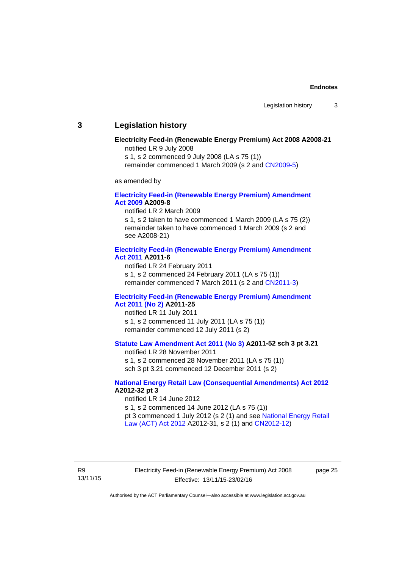#### <span id="page-28-0"></span>**3 Legislation history**

#### **Electricity Feed-in (Renewable Energy Premium) Act 2008 A2008-21**  notified LR 9 July 2008

s 1, s 2 commenced 9 July 2008 (LA s 75 (1))

remainder commenced 1 March 2009 (s 2 and [CN2009-5\)](http://www.legislation.act.gov.au/cn/2009-5/default.asp)

as amended by

#### **[Electricity Feed-in \(Renewable Energy Premium\) Amendment](http://www.legislation.act.gov.au/a/2009-8)  [Act 2009](http://www.legislation.act.gov.au/a/2009-8) A2009-8**

notified LR 2 March 2009

s 1, s 2 taken to have commenced 1 March 2009 (LA s 75 (2)) remainder taken to have commenced 1 March 2009 (s 2 and see A2008-21)

#### **[Electricity Feed-in \(Renewable Energy Premium\) Amendment](http://www.legislation.act.gov.au/a/2011-6)  [Act 2011](http://www.legislation.act.gov.au/a/2011-6) A2011-6**

notified LR 24 February 2011 s 1, s 2 commenced 24 February 2011 (LA s 75 (1)) remainder commenced 7 March 2011 (s 2 and [CN2011-3\)](http://www.legislation.act.gov.au/cn/2011-3/default.asp)

#### **[Electricity Feed-in \(Renewable Energy Premium\) Amendment](http://www.legislation.act.gov.au/a/2011-25)  [Act 2011 \(No 2\)](http://www.legislation.act.gov.au/a/2011-25) A2011-25**

notified LR 11 July 2011 s 1, s 2 commenced 11 July 2011 (LA s 75 (1)) remainder commenced 12 July 2011 (s 2)

### **[Statute Law Amendment Act 2011 \(No 3\)](http://www.legislation.act.gov.au/a/2011-52) A2011-52 sch 3 pt 3.21**

notified LR 28 November 2011

s 1, s 2 commenced 28 November 2011 (LA s 75 (1)) sch 3 pt 3.21 commenced 12 December 2011 (s 2)

#### **[National Energy Retail Law \(Consequential Amendments\) Act 2012](http://www.legislation.act.gov.au/a/2012-32) A2012-32 pt 3**

notified LR 14 June 2012 s 1, s 2 commenced 14 June 2012 (LA s 75 (1)) pt 3 commenced 1 July 2012 (s 2 (1) and see [National Energy Retail](http://www.legislation.act.gov.au/a/2012-31)  [Law \(ACT\) Act 2012](http://www.legislation.act.gov.au/a/2012-31) A2012-31, s 2 (1) and [CN2012-12\)](http://www.legislation.act.gov.au/cn/2012-12/default.asp)

R9 13/11/15 Electricity Feed-in (Renewable Energy Premium) Act 2008 Effective: 13/11/15-23/02/16

page 25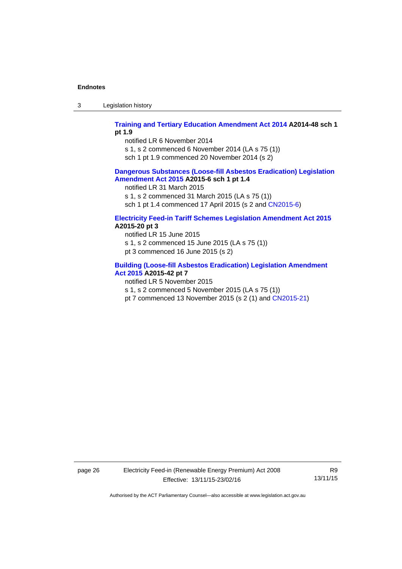3 Legislation history

#### **[Training and Tertiary Education Amendment Act 2014](http://www.legislation.act.gov.au/a/2014-48) A2014-48 sch 1 pt 1.9**

notified LR 6 November 2014

s 1, s 2 commenced 6 November 2014 (LA s 75 (1))

sch 1 pt 1.9 commenced 20 November 2014 (s 2)

#### **[Dangerous Substances \(Loose-fill Asbestos Eradication\) Legislation](http://www.legislation.act.gov.au/a/2015-6/default.asp)  [Amendment Act 2015](http://www.legislation.act.gov.au/a/2015-6/default.asp) A2015-6 sch 1 pt 1.4**

notified LR 31 March 2015

s 1, s 2 commenced 31 March 2015 (LA s 75 (1))

sch 1 pt 1.4 commenced 17 April 2015 (s 2 and [CN2015-6\)](http://www.legislation.act.gov.au/cn/2015-6/default.asp)

#### **[Electricity Feed-in Tariff Schemes Legislation Amendment Act 2015](http://www.legislation.act.gov.au/a/2015-20/default.asp) A2015-20 pt 3**

notified LR 15 June 2015 s 1, s 2 commenced 15 June 2015 (LA s 75 (1)) pt 3 commenced 16 June 2015 (s 2)

#### **[Building \(Loose-fill Asbestos Eradication\) Legislation Amendment](http://www.legislation.act.gov.au/a/2015-42/default.asp)  [Act 2015](http://www.legislation.act.gov.au/a/2015-42/default.asp) A2015-42 pt 7**

notified LR 5 November 2015

s 1, s 2 commenced 5 November 2015 (LA s 75 (1))

pt 7 commenced 13 November 2015 (s 2 (1) and [CN2015-21\)](http://www.legislation.act.gov.au/cn/2015-21/default.asp)

page 26 Electricity Feed-in (Renewable Energy Premium) Act 2008 Effective: 13/11/15-23/02/16

R9 13/11/15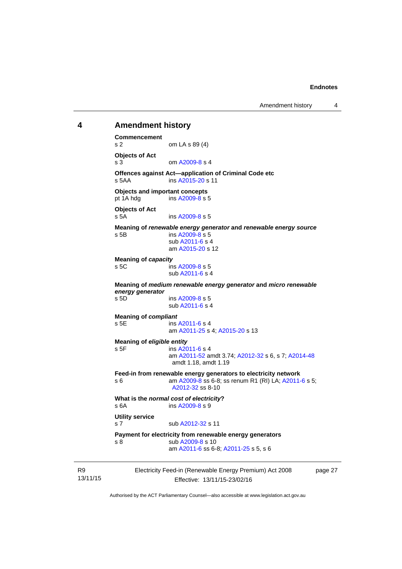## <span id="page-30-0"></span>Electricity Feed-in (Renewable Energy Premium) Act 2008 **4 Amendment history Commencement**  s 2 om LA s 89 (4) **Objects of Act**  s 3 om [A2009-8](http://www.legislation.act.gov.au/a/2009-8) s 4 **Offences against Act—application of Criminal Code etc**  s 5AA ins [A2015-20](http://www.legislation.act.gov.au/a/2015-20) s 11 **Objects and important concepts**  pt 1A hdg ins [A2009-8](http://www.legislation.act.gov.au/a/2009-8) s 5 **Objects of Act**  s 5A ins [A2009-8](http://www.legislation.act.gov.au/a/2009-8) s 5 **Meaning of** *renewable energy generator* **and** *renewable energy source* s 5B ins [A2009-8](http://www.legislation.act.gov.au/a/2009-8) s 5 sub [A2011-6](http://www.legislation.act.gov.au/a/2011-6) s 4 am [A2015-20](http://www.legislation.act.gov.au/a/2015-20) s 12 **Meaning of** *capacity* s 5C ins [A2009-8](http://www.legislation.act.gov.au/a/2009-8) s 5 sub [A2011-6](http://www.legislation.act.gov.au/a/2011-6) s 4 **Meaning of** *medium renewable energy generator* **and** *micro renewable energy generator* s 5D ins [A2009-8](http://www.legislation.act.gov.au/a/2009-8) s 5 sub [A2011-6](http://www.legislation.act.gov.au/a/2011-6) s 4 **Meaning of** *compliant* s 5E ins [A2011-6](http://www.legislation.act.gov.au/a/2011-6) s 4 am [A2011-25](http://www.legislation.act.gov.au/a/2011-25) s 4; [A2015-20](http://www.legislation.act.gov.au/a/2015-20) s 13 **Meaning of** *eligible entity* s 5F ins [A2011-6](http://www.legislation.act.gov.au/a/2011-6) s 4 am [A2011-52](http://www.legislation.act.gov.au/a/2011-52) amdt 3.74; [A2012-32](http://www.legislation.act.gov.au/a/2012-32) s 6, s 7; [A2014-48](http://www.legislation.act.gov.au/a/2014-48) amdt 1.18, amdt 1.19 **Feed-in from renewable energy generators to electricity network**  s 6 **am A2009-8** ss 6-8; ss renum R1 (RI) LA; [A2011-6](http://www.legislation.act.gov.au/a/2011-6) s 5; [A2012-32](http://www.legislation.act.gov.au/a/2012-32) ss 8-10 **What is the** *normal cost of electricity***?**  s 6A ins [A2009-8](http://www.legislation.act.gov.au/a/2009-8) s 9 **Utility service**  s 7 sub [A2012-32](http://www.legislation.act.gov.au/a/2012-32) s 11 **Payment for electricity from renewable energy generators**  s 8 sub [A2009-8](http://www.legislation.act.gov.au/a/2009-8) s 10 am [A2011-6](http://www.legislation.act.gov.au/a/2011-6) ss 6-8; [A2011-25](http://www.legislation.act.gov.au/a/2011-25) s 5, s 6

page 27

Authorised by the ACT Parliamentary Counsel—also accessible at www.legislation.act.gov.au

Effective: 13/11/15-23/02/16

R9 13/11/15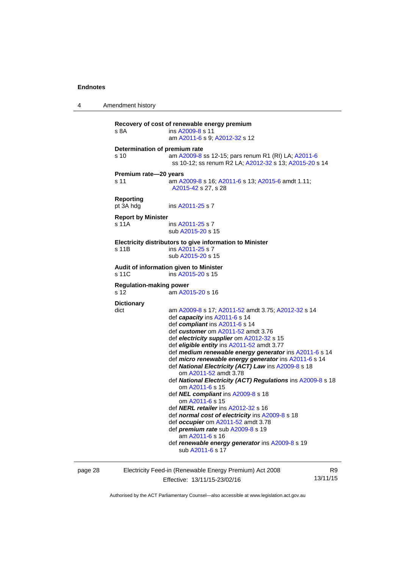4 Amendment history **Recovery of cost of renewable energy premium**  s 8A **ins [A2009-8](http://www.legislation.act.gov.au/a/2009-8) s** 11 am [A2011-6](http://www.legislation.act.gov.au/a/2011-6) s 9; [A2012-32](http://www.legislation.act.gov.au/a/2012-32) s 12 **Determination of premium rate**  s 10 am [A2009-8](http://www.legislation.act.gov.au/a/2009-8) ss 12-15; pars renum R1 (RI) LA; [A2011-6](http://www.legislation.act.gov.au/a/2011-6) ss 10-12; ss renum R2 LA; [A2012-32](http://www.legislation.act.gov.au/a/2012-32) s 13; [A2015-20](http://www.legislation.act.gov.au/a/2015-20) s 14 **Premium rate—20 years**  s 11 am [A2009-8](http://www.legislation.act.gov.au/a/2009-8) s 16; [A2011-6](http://www.legislation.act.gov.au/a/2011-6) s 13; [A2015-6](http://www.legislation.act.gov.au/a/2015-6) amdt 1.11; [A2015-42](http://www.legislation.act.gov.au/a/2015-42) s 27, s 28 **Reporting**  pt 3A hdg ins [A2011-25](http://www.legislation.act.gov.au/a/2011-25) s 7 **Report by Minister**  s 11A ins [A2011-25](http://www.legislation.act.gov.au/a/2011-25) s 7 sub [A2015-20](http://www.legislation.act.gov.au/a/2015-20) s 15 **Electricity distributors to give information to Minister**  s 11B ins [A2011-25](http://www.legislation.act.gov.au/a/2011-25) s 7 sub [A2015-20](http://www.legislation.act.gov.au/a/2015-20) s 15 **Audit of information given to Minister**  s 11C ins [A2015-20](http://www.legislation.act.gov.au/a/2015-20) s 15 **Regulation-making power**  s 12 am [A2015-20](http://www.legislation.act.gov.au/a/2015-20) s 16 **Dictionary**  dict am [A2009-8](http://www.legislation.act.gov.au/a/2009-8) s 17; [A2011-52](http://www.legislation.act.gov.au/a/2011-52) amdt 3.75; [A2012-32](http://www.legislation.act.gov.au/a/2012-32) s 14 def *capacity* ins [A2011-6](http://www.legislation.act.gov.au/a/2011-6) s 14 def *compliant* ins [A2011-6](http://www.legislation.act.gov.au/a/2011-6) s 14 def *customer* om [A2011-52](http://www.legislation.act.gov.au/a/2011-52) amdt 3.76 def *electricity supplier* om [A2012-32](http://www.legislation.act.gov.au/a/2012-32) s 15 def *eligible entity* ins [A2011-52](http://www.legislation.act.gov.au/a/2011-52) amdt 3.77 def *medium renewable energy generator* ins [A2011-6](http://www.legislation.act.gov.au/a/2011-6) s 14 def *micro renewable energy generator* ins [A2011-6](http://www.legislation.act.gov.au/a/2011-6) s 14 def *National Electricity (ACT) Law* ins [A2009-8](http://www.legislation.act.gov.au/a/2009-8) s 18 om [A2011-52](http://www.legislation.act.gov.au/a/2011-52) amdt 3.78 def *National Electricity (ACT) Regulations* ins [A2009-8](http://www.legislation.act.gov.au/a/2009-8) s 18 om [A2011-6](http://www.legislation.act.gov.au/a/2011-6) s 15 def *NEL compliant* ins [A2009-8](http://www.legislation.act.gov.au/a/2009-8) s 18 om [A2011-6](http://www.legislation.act.gov.au/a/2011-6) s 15 def *NERL retailer* ins [A2012-32](http://www.legislation.act.gov.au/a/2012-32) s 16 def *normal cost of electricity* ins [A2009-8](http://www.legislation.act.gov.au/a/2009-8) s 18 def *occupier* om [A2011-52](http://www.legislation.act.gov.au/a/2011-52) amdt 3.78 def *premium rate* sub [A2009-8](http://www.legislation.act.gov.au/a/2009-8) s 19 am [A2011-6](http://www.legislation.act.gov.au/a/2011-6) s 16 def *renewable energy generator* ins [A2009-8](http://www.legislation.act.gov.au/a/2009-8) s 19 sub [A2011-6](http://www.legislation.act.gov.au/a/2011-6) s 17

page 28 Electricity Feed-in (Renewable Energy Premium) Act 2008 Effective: 13/11/15-23/02/16

R9 13/11/15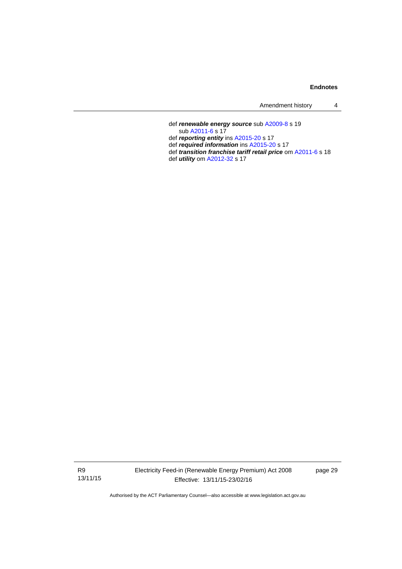| Amendment history |  |
|-------------------|--|
|-------------------|--|

 def *renewable energy source* sub [A2009-8](http://www.legislation.act.gov.au/a/2009-8) s 19 sub [A2011-6](http://www.legislation.act.gov.au/a/2011-6) s 17 def *reporting entity* ins [A2015-20](http://www.legislation.act.gov.au/a/2015-20) s 17 def *required information* ins [A2015-20](http://www.legislation.act.gov.au/a/2015-20) s 17 def *transition franchise tariff retail price* om [A2011-6](http://www.legislation.act.gov.au/a/2011-6) s 18 def *utility* om [A2012-32](http://www.legislation.act.gov.au/a/2012-32) s 17

R9 13/11/15 Electricity Feed-in (Renewable Energy Premium) Act 2008 Effective: 13/11/15-23/02/16

page 29